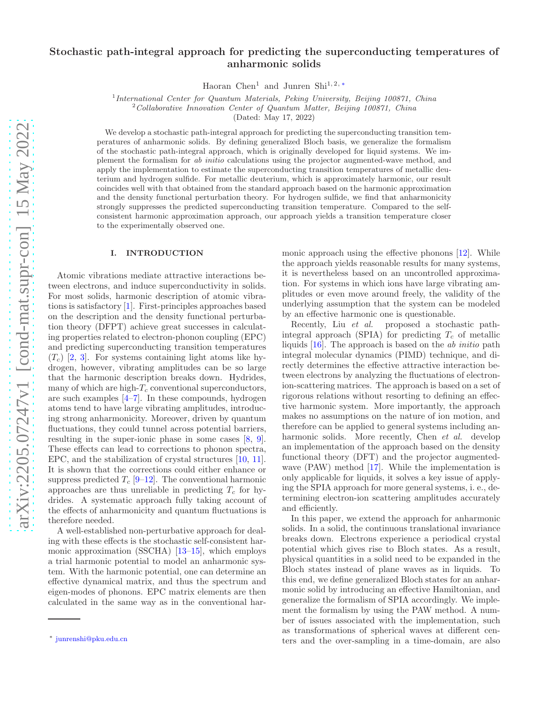# Stochastic path-integral approach for predicting the superconducting temperatures of anharmonic solids

Haoran Chen<sup>1</sup> and Junren Shi<sup>1, 2,\*</sup>

<sup>1</sup>International Center for Quantum Materials, Peking University, Beijing 100871, China

 $2^2$ Collaborative Innovation Center of Quantum Matter, Beijing 100871, China

(Dated: May 17, 2022)

We develop a stochastic path-integral approach for predicting the superconducting transition temperatures of anharmonic solids. By defining generalized Bloch basis, we generalize the formalism of the stochastic path-integral approach, which is originally developed for liquid systems. We implement the formalism for ab initio calculations using the projector augmented-wave method, and apply the implementation to estimate the superconducting transition temperatures of metallic deuterium and hydrogen sulfide. For metallic deuterium, which is approximately harmonic, our result coincides well with that obtained from the standard approach based on the harmonic approximation and the density functional perturbation theory. For hydrogen sulfide, we find that anharmonicity strongly suppresses the predicted superconducting transition temperature. Compared to the selfconsistent harmonic approximation approach, our approach yields a transition temperature closer to the experimentally observed one.

#### I. INTRODUCTION

Atomic vibrations mediate attractive interactions between electrons, and induce superconductivity in solids. For most solids, harmonic description of atomic vibrations is satisfactory [\[1\]](#page-8-0). First-principles approaches based on the description and the density functional perturbation theory (DFPT) achieve great successes in calculating properties related to electron-phonon coupling (EPC) and predicting superconducting transition temperatures  $(T_c)$  [\[2](#page-8-1), [3](#page-8-2)]. For systems containing light atoms like hydrogen, however, vibrating amplitudes can be so large that the harmonic description breaks down. Hydrides, many of which are high- $T_c$  conventional superconductors, are such examples [\[4](#page-8-3)[–7\]](#page-8-4). In these compounds, hydrogen atoms tend to have large vibrating amplitudes, introducing strong anharmonicity. Moreover, driven by quantum fluctuations, they could tunnel across potential barriers, resulting in the super-ionic phase in some cases [\[8](#page-8-5), [9\]](#page-8-6). These effects can lead to corrections to phonon spectra, EPC, and the stabilization of crystal structures [\[10,](#page-8-7) [11\]](#page-8-8). It is shown that the corrections could either enhance or suppress predicted  $T_c$  [\[9](#page-8-6)[–12\]](#page-8-9). The conventional harmonic approaches are thus unreliable in predicting  $T_c$  for hydrides. A systematic approach fully taking account of the effects of anharmonicity and quantum fluctuations is therefore needed.

A well-established non-perturbative approach for dealing with these effects is the stochastic self-consistent harmonic approximation (SSCHA) [\[13](#page-8-10)[–15\]](#page-9-0), which employs a trial harmonic potential to model an anharmonic system. With the harmonic potential, one can determine an effective dynamical matrix, and thus the spectrum and eigen-modes of phonons. EPC matrix elements are then calculated in the same way as in the conventional har-

monic approach using the effective phonons [\[12](#page-8-9)]. While the approach yields reasonable results for many systems, it is nevertheless based on an uncontrolled approximation. For systems in which ions have large vibrating amplitudes or even move around freely, the validity of the underlying assumption that the system can be modeled by an effective harmonic one is questionable.

Recently, Liu et al. proposed a stochastic pathintegral approach (SPIA) for predicting  $T_c$  of metallic liquids [\[16\]](#page-9-1). The approach is based on the ab initio path integral molecular dynamics (PIMD) technique, and directly determines the effective attractive interaction between electrons by analyzing the fluctuations of electronion-scattering matrices. The approach is based on a set of rigorous relations without resorting to defining an effective harmonic system. More importantly, the approach makes no assumptions on the nature of ion motion, and therefore can be applied to general systems including anharmonic solids. More recently, Chen et al. develop an implementation of the approach based on the density functional theory (DFT) and the projector augmented-wave (PAW) method [\[17](#page-9-2)]. While the implementation is only applicable for liquids, it solves a key issue of applying the SPIA approach for more general systems, i. e., determining electron-ion scattering amplitudes accurately and efficiently.

In this paper, we extend the approach for anharmonic solids. In a solid, the continuous translational invariance breaks down. Electrons experience a periodical crystal potential which gives rise to Bloch states. As a result, physical quantities in a solid need to be expanded in the Bloch states instead of plane waves as in liquids. To this end, we define generalized Bloch states for an anharmonic solid by introducing an effective Hamiltonian, and generalize the formalism of SPIA accordingly. We implement the formalism by using the PAW method. A number of issues associated with the implementation, such as transformations of spherical waves at different centers and the over-sampling in a time-domain, are also

<span id="page-0-0"></span><sup>∗</sup> [junrenshi@pku.edu.cn](mailto:junrenshi@pku.edu.cn)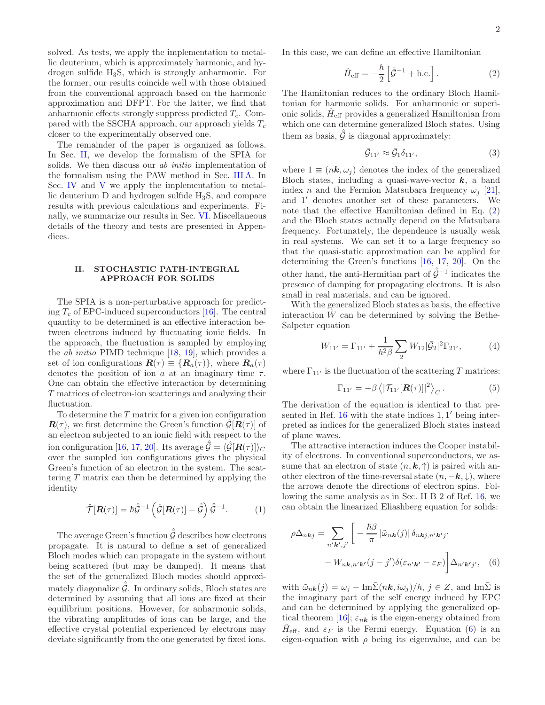solved. As tests, we apply the implementation to metallic deuterium, which is approximately harmonic, and hydrogen sulfide H3S, which is strongly anharmonic. For the former, our results coincide well with those obtained from the conventional approach based on the harmonic approximation and DFPT. For the latter, we find that anharmonic effects strongly suppress predicted  $T_c$ . Compared with the SSCHA approach, our approach yields  $T_c$ closer to the experimentally observed one.

The remainder of the paper is organized as follows. In Sec. [II,](#page-1-0) we develop the formalism of the SPIA for solids. We then discuss our *ab initio* implementation of the formalism using the PAW method in Sec. [III A.](#page-2-0) In Sec. [IV](#page-4-0) and [V](#page-5-0) we apply the implementation to metallic deuterium D and hydrogen sulfide H3S, and compare results with previous calculations and experiments. Finally, we summarize our results in Sec. [VI.](#page-6-0) Miscellaneous details of the theory and tests are presented in Appendices.

# <span id="page-1-0"></span>II. STOCHASTIC PATH-INTEGRAL APPROACH FOR SOLIDS

The SPIA is a non-perturbative approach for predicting  $T_c$  of EPC-induced superconductors [\[16\]](#page-9-1). The central quantity to be determined is an effective interaction between electrons induced by fluctuating ionic fields. In the approach, the fluctuation is sampled by employing the *ab initio* PIMD technique  $[18, 19]$  $[18, 19]$ , which provides a set of ion configurations  $\mathbf{R}(\tau) \equiv \{\mathbf{R}_a(\tau)\}\,$ , where  $\mathbf{R}_a(\tau)$ denotes the position of ion a at an imaginary time  $\tau$ . One can obtain the effective interaction by determining T matrices of electron-ion scatterings and analyzing their fluctuation.

To determine the  $T$  matrix for a given ion configuration  $\mathbf{R}(\tau)$ , we first determine the Green's function  $\mathcal{G}[\mathbf{R}(\tau)]$  of an electron subjected to an ionic field with respect to the ion configuration [\[16,](#page-9-1) [17](#page-9-2), [20\]](#page-9-5). Its average  $\hat{\bar{\mathcal{G}}} = \langle \hat{\mathcal{G}}[\bm{R}(\tau)] \rangle_C$ over the sampled ion configurations gives the physical Green's function of an electron in the system. The scattering T matrix can then be determined by applying the identity

$$
\hat{\mathcal{T}}[\mathbf{R}(\tau)] = \hbar \hat{\bar{\mathcal{G}}}^{-1} \left( \hat{\mathcal{G}}[\mathbf{R}(\tau)] - \hat{\bar{\mathcal{G}}} \right) \hat{\bar{\mathcal{G}}}^{-1}.
$$
 (1)

The average Green's function  $\hat{\bar{\cal G}}$  describes how electrons propagate. It is natural to define a set of generalized Bloch modes which can propagate in the system without being scattered (but may be damped). It means that the set of the generalized Bloch modes should approximately diagonalize  $\hat{\bar{\mathcal{G}}}$ . In ordinary solids, Bloch states are determined by assuming that all ions are fixed at their equilibrium positions. However, for anharmonic solids, the vibrating amplitudes of ions can be large, and the effective crystal potential experienced by electrons may deviate significantly from the one generated by fixed ions.

In this case, we can define an effective Hamiltonian

<span id="page-1-1"></span>
$$
\hat{H}_{\text{eff}} = -\frac{\hbar}{2} \left[ \hat{\mathcal{G}}^{-1} + \text{h.c.} \right]. \tag{2}
$$

The Hamiltonian reduces to the ordinary Bloch Hamiltonian for harmonic solids. For anharmonic or superionic solids,  $\hat{H}_{\text{eff}}$  provides a generalized Hamiltonian from which one can determine generalized Bloch states. Using them as basis,  $\hat{\bar{\mathcal{G}}}$  is diagonal approximately:

$$
\bar{\mathcal{G}}_{11'} \approx \bar{\mathcal{G}}_1 \delta_{11'},\tag{3}
$$

where  $1 \equiv (n\mathbf{k}, \omega_i)$  denotes the index of the generalized Bloch states, including a quasi-wave-vector  $k$ , a band index n and the Fermion Matsubara frequency  $\omega_i$  [\[21\]](#page-9-6), and 1′ denotes another set of these parameters. We note that the effective Hamiltonian defined in Eq. [\(2\)](#page-1-1) and the Bloch states actually depend on the Matsubara frequency. Fortunately, the dependence is usually weak in real systems. We can set it to a large frequency so that the quasi-static approximation can be applied for determining the Green's functions [\[16,](#page-9-1) [17,](#page-9-2) [20\]](#page-9-5). On the other hand, the anti-Hermitian part of  $\hat{\bar{\mathcal{G}}}^{-1}$  indicates the presence of damping for propagating electrons. It is also small in real materials, and can be ignored.

With the generalized Bloch states as basis, the effective interaction  $\hat{W}$  can be determined by solving the Bethe-Salpeter equation

$$
W_{11'} = \Gamma_{11'} + \frac{1}{\hbar^2 \beta} \sum_{2} W_{12} |\bar{G}_2|^2 \Gamma_{21'},\tag{4}
$$

where  $\Gamma_{11'}$  is the fluctuation of the scattering T matrices:

$$
\Gamma_{11'} = -\beta \left\langle |\mathcal{T}_{11'}[\mathbf{R}(\tau)]|^2 \right\rangle_C. \tag{5}
$$

The derivation of the equation is identical to that presented in Ref.  $16$  with the state indices  $1, 1'$  being interpreted as indices for the generalized Bloch states instead of plane waves.

The attractive interaction induces the Cooper instability of electrons. In conventional superconductors, we assume that an electron of state  $(n, k, \uparrow)$  is paired with another electron of the time-reversal state  $(n, -k, \downarrow)$ , where the arrows denote the directions of electron spins. Following the same analysis as in Sec. II B 2 of Ref. [16,](#page-9-1) we can obtain the linearized Eliashberg equation for solids:

<span id="page-1-2"></span>
$$
\rho \Delta_{nkj} = \sum_{n' \mathbf{k}', j'} \left[ -\frac{\hbar \beta}{\pi} \left| \tilde{\omega}_{nk}(j) \right| \delta_{nkj,n' \mathbf{k}'j'} - W_{nk,n' \mathbf{k}'}(j - j') \delta(\varepsilon_{n' \mathbf{k}'} - \varepsilon_F) \right] \Delta_{n' \mathbf{k}'j'}, \quad (6)
$$

with  $\tilde{\omega}_{n\mathbf{k}}(j) = \omega_j - \text{Im}\bar{\Sigma}(n\mathbf{k}, i\omega_j)/\hbar, j \in Z$ , and Im $\bar{\Sigma}$  is the imaginary part of the self energy induced by EPC and can be determined by applying the generalized op-tical theorem [\[16](#page-9-1)];  $\varepsilon_{n\mathbf{k}}$  is the eigen-energy obtained from  $\hat{H}_{\text{eff}}$ , and  $\varepsilon_F$  is the Fermi energy. Equation [\(6\)](#page-1-2) is an eigen-equation with  $\rho$  being its eigenvalue, and can be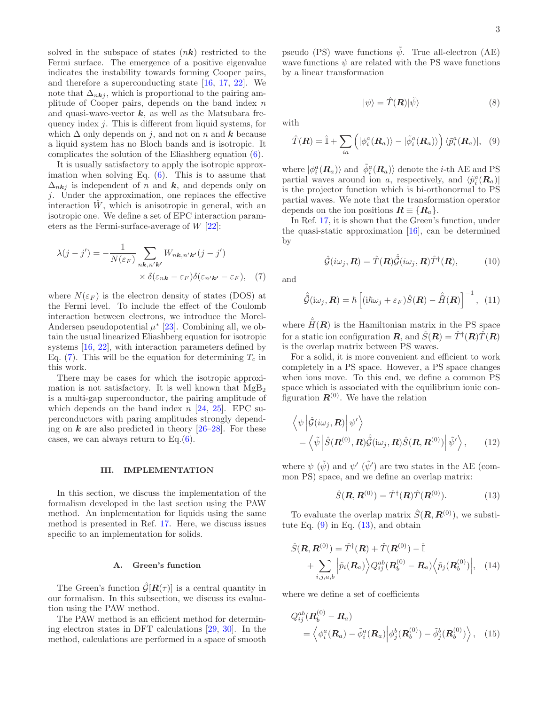solved in the subspace of states  $(nk)$  restricted to the Fermi surface. The emergence of a positive eigenvalue indicates the instability towards forming Cooper pairs, and therefore a superconducting state [\[16](#page-9-1), [17](#page-9-2), [22\]](#page-9-7). We note that  $\Delta_{nki}$ , which is proportional to the pairing amplitude of Cooper pairs, depends on the band index  $n$ and quasi-wave-vector  $k$ , as well as the Matsubara frequency index  $j$ . This is different from liquid systems, for which  $\Delta$  only depends on j, and not on n and k because a liquid system has no Bloch bands and is isotropic. It complicates the solution of the Eliashberg equation [\(6\)](#page-1-2).

It is usually satisfactory to apply the isotropic approximation when solving Eq.  $(6)$ . This is to assume that  $\Delta_{n\mathbf{k}j}$  is independent of n and k, and depends only on j. Under the approximation, one replaces the effective interaction  $\hat{W}$ , which is anisotropic in general, with an isotropic one. We define a set of EPC interaction parameters as the Fermi-surface-average of  $W$  [\[22](#page-9-7)]:

$$
\lambda(j-j') = -\frac{1}{N(\varepsilon_F)} \sum_{n\mathbf{k}, n'\mathbf{k'}} W_{n\mathbf{k}, n'\mathbf{k'}}(j-j')
$$
  
 
$$
\times \delta(\varepsilon_{n\mathbf{k}} - \varepsilon_F) \delta(\varepsilon_{n'\mathbf{k'}} - \varepsilon_F), \quad (7)
$$

where  $N(\varepsilon_F)$  is the electron density of states (DOS) at the Fermi level. To include the effect of the Coulomb interaction between electrons, we introduce the Morel-Andersen pseudopotential  $\mu^*$  [\[23](#page-9-8)]. Combining all, we obtain the usual linearized Eliashberg equation for isotropic systems [\[16,](#page-9-1) [22](#page-9-7)], with interaction parameters defined by Eq.  $(7)$ . This will be the equation for determining  $T_c$  in this work.

There may be cases for which the isotropic approximation is not satisfactory. It is well known that  $MgB<sub>2</sub>$ is a multi-gap superconductor, the pairing amplitude of which depends on the band index  $n$  [\[24,](#page-9-9) [25\]](#page-9-10). EPC superconductors with paring amplitudes strongly depending on  $k$  are also predicted in theory  $\left[26-28\right]$ . For these cases, we can always return to Eq. $(6)$ .

# III. IMPLEMENTATION

In this section, we discuss the implementation of the formalism developed in the last section using the PAW method. An implementation for liquids using the same method is presented in Ref. [17.](#page-9-2) Here, we discuss issues specific to an implementation for solids.

#### <span id="page-2-0"></span>A. Green's function

The Green's function  $\hat{\mathcal{G}}[\mathbf{R}(\tau)]$  is a central quantity in our formalism. In this subsection, we discuss its evaluation using the PAW method.

The PAW method is an efficient method for determining electron states in DFT calculations [\[29,](#page-9-13) [30](#page-9-14)]. In the method, calculations are performed in a space of smooth

pseudo (PS) wave functions  $\psi$ . True all-electron (AE) wave functions  $\psi$  are related with the PS wave functions by a linear transformation

with

$$
|\psi\rangle = \hat{T}(\mathbf{R})|\tilde{\psi}\rangle
$$
 (8)

<span id="page-2-2"></span> $\hat{T}(\boldsymbol{R}) = \hat{\mathbb{I}} + \sum \limits_{i=1}^n \hat{\mathbb{I}}_i$ ia  $\left(|\phi_i^a(R_a)\rangle-|\tilde{\phi}_i^a(R_a)\rangle\right)\langle\tilde{p}_i^a(R_a)|,\;\;\;(9)$ 

where  $|\phi_i^a(R_a)\rangle$  and  $|\tilde{\phi}_i^a(R_a)\rangle$  denote the *i*-th AE and PS partial waves around ion a, respectively, and  $\langle \tilde{p}_i^a(\mathbf{R}_a) |$ is the projector function which is bi-orthonormal to PS partial waves. We note that the transformation operator depends on the ion positions  $\mathbf{R} \equiv \{R_a\}.$ 

In Ref. [17](#page-9-2), it is shown that the Green's function, under the quasi-static approximation [\[16](#page-9-1)], can be determined by

<span id="page-2-6"></span>
$$
\hat{\mathcal{G}}(i\omega_j, \mathbf{R}) = \hat{T}(\mathbf{R})\hat{\tilde{\mathcal{G}}}(i\omega_j, \mathbf{R})\hat{T}^{\dagger}(\mathbf{R}), \quad (10)
$$

<span id="page-2-1"></span>and

$$
\hat{\tilde{\mathcal{G}}}(\mathrm{i}\omega_j,\boldsymbol{R}) = \hbar \left[ (\mathrm{i}\hbar\omega_j + \varepsilon_F)\hat{S}(\boldsymbol{R}) - \hat{\tilde{H}}(\boldsymbol{R}) \right]^{-1}, (11)
$$

where  $\hat{H}(\mathbf{R})$  is the Hamiltonian matrix in the PS space for a static ion configuration  $\boldsymbol{R}$ , and  $\hat{S}(\boldsymbol{R}) = \hat{T}^{\dagger}(\boldsymbol{R})\hat{T}(\boldsymbol{R})$ is the overlap matrix between PS waves.

For a solid, it is more convenient and efficient to work completely in a PS space. However, a PS space changes when ions move. To this end, we define a common PS space which is associated with the equilibrium ionic configuration  $\mathbf{R}^{(0)}$ . We have the relation

$$
\langle \psi | \hat{\mathcal{G}}(i\omega_j, \mathbf{R}) | \psi' \rangle = \langle \tilde{\psi} | \hat{S}(\mathbf{R}^{(0)}, \mathbf{R}) \hat{\tilde{\mathcal{G}}}(i\omega_j, \mathbf{R}) \hat{S}(\mathbf{R}, \mathbf{R}^{(0)}) | \tilde{\psi}' \rangle, \qquad (12)
$$

where  $\psi$  ( $\tilde{\psi}$ ) and  $\psi'$  ( $\tilde{\psi}'$ ) are two states in the AE (common PS) space, and we define an overlap matrix:

<span id="page-2-5"></span><span id="page-2-4"></span><span id="page-2-3"></span>
$$
\hat{S}(\mathbf{R}, \mathbf{R}^{(0)}) = \hat{T}^{\dagger}(\mathbf{R})\hat{T}(\mathbf{R}^{(0)}).
$$
 (13)

To evaluate the overlap matrix  $\hat{S}(R, R^{(0)})$ , we substitute Eq.  $(9)$  in Eq.  $(13)$ , and obtain

$$
\hat{S}(\boldsymbol{R}, \boldsymbol{R}^{(0)}) = \hat{T}^{\dagger}(\boldsymbol{R}) + \hat{T}(\boldsymbol{R}^{(0)}) - \hat{\mathbb{I}}
$$

$$
+ \sum_{i,j,a,b} \left| \tilde{p}_i(\boldsymbol{R}_a) \right\rangle Q_{ij}^{ab}(\boldsymbol{R}_b^{(0)} - \boldsymbol{R}_a) \left\langle \tilde{p}_j(\boldsymbol{R}_b^{(0)}) \right|, \quad (14)
$$

where we define a set of coefficients

$$
Q_{ij}^{ab}(\mathbf{R}_{b}^{(0)} - \mathbf{R}_{a}) = \left\langle \phi_{i}^{a}(\mathbf{R}_{a}) - \tilde{\phi}_{i}^{a}(\mathbf{R}_{a}) \right| \phi_{j}^{b}(\mathbf{R}_{b}^{(0)}) - \tilde{\phi}_{j}^{b}(\mathbf{R}_{b}^{(0)}) \right\rangle, \quad (15)
$$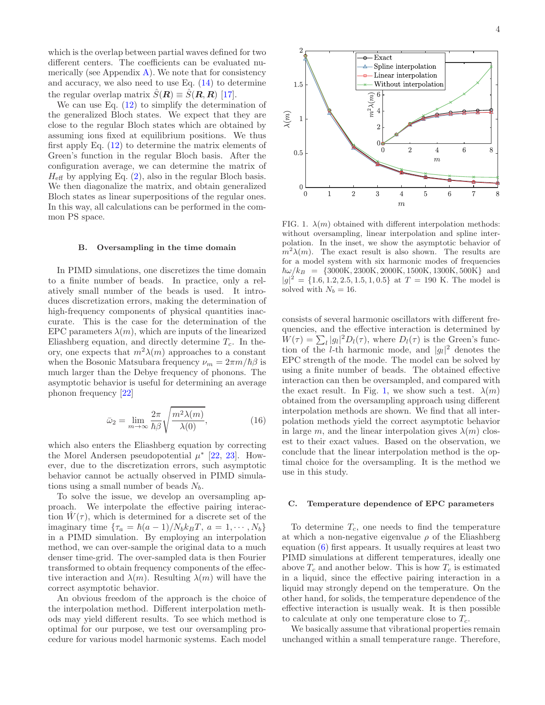which is the overlap between partial waves defined for two different centers. The coefficients can be evaluated numerically (see Appendix  $\bf{A}$ ). We note that for consistency and accuracy, we also need to use Eq. [\(14\)](#page-2-4) to determine the regular overlap matrix  $\hat{S}(\mathbf{R}) \equiv \hat{S}(\mathbf{R}, \mathbf{R})$  [\[17\]](#page-9-2).

We can use Eq.  $(12)$  to simplify the determination of the generalized Bloch states. We expect that they are close to the regular Bloch states which are obtained by assuming ions fixed at equilibrium positions. We thus first apply Eq. [\(12\)](#page-2-5) to determine the matrix elements of Green's function in the regular Bloch basis. After the configuration average, we can determine the matrix of  $H_{\text{eff}}$  by applying Eq. [\(2\)](#page-1-1), also in the regular Bloch basis. We then diagonalize the matrix, and obtain generalized Bloch states as linear superpositions of the regular ones. In this way, all calculations can be performed in the common PS space.

#### B. Oversampling in the time domain

In PIMD simulations, one discretizes the time domain to a finite number of beads. In practice, only a relatively small number of the beads is used. It introduces discretization errors, making the determination of high-frequency components of physical quantities inaccurate. This is the case for the determination of the EPC parameters  $\lambda(m)$ , which are inputs of the linearized Eliashberg equation, and directly determine  $T_c$ . In theory, one expects that  $m^2\lambda(m)$  approaches to a constant when the Bosonic Matsubara frequency  $\nu_m = 2\pi m/\hbar\beta$  is much larger than the Debye frequency of phonons. The asymptotic behavior is useful for determining an average phonon frequency [\[22](#page-9-7)]

$$
\bar{\omega}_2 = \lim_{m \to \infty} \frac{2\pi}{\hbar \beta} \sqrt{\frac{m^2 \lambda(m)}{\lambda(0)}},\tag{16}
$$

which also enters the Eliashberg equation by correcting the Morel Andersen pseudopotential  $\mu^*$  [\[22,](#page-9-7) [23\]](#page-9-8). However, due to the discretization errors, such asymptotic behavior cannot be actually observed in PIMD simulations using a small number of beads  $N_b$ .

To solve the issue, we develop an oversampling approach. We interpolate the effective pairing interaction  $\hat{W}(\tau)$ , which is determined for a discrete set of the imaginary time  $\{\tau_a = \hbar(a-1)/N_b k_B T, a = 1, \cdots, N_b\}$ in a PIMD simulation. By employing an interpolation method, we can over-sample the original data to a much denser time-grid. The over-sampled data is then Fourier transformed to obtain frequency components of the effective interaction and  $\lambda(m)$ . Resulting  $\lambda(m)$  will have the correct asymptotic behavior.

An obvious freedom of the approach is the choice of the interpolation method. Different interpolation methods may yield different results. To see which method is optimal for our purpose, we test our oversampling procedure for various model harmonic systems. Each model



FIG. 1.  $\lambda(m)$  obtained with different interpolation methods: without oversampling, linear interpolation and spline interpolation. In the inset, we show the asymptotic behavior of  $m^2\lambda(m)$ . The exact result is also shown. The results are for a model system with six harmonic modes of frequencies  $\hbar\omega/k_B$  = {3000K, 2300K, 2000K, 1500K, 1300K, 500K} and  $|g|^2 = \{1.6, 1.2, 2.5, 1.5, 1, 0.5\}$  at  $T = 190$  K. The model is solved with  $N_b = 16$ .

consists of several harmonic oscillators with different frequencies, and the effective interaction is determined by  $W(\tau) = \sum_{l} |g_l|^2 D_l(\tau)$ , where  $D_l(\tau)$  is the Green's function of the *l*-th harmonic mode, and  $|g_l|^2$  denotes the EPC strength of the mode. The model can be solved by using a finite number of beads. The obtained effective interaction can then be oversampled, and compared with the exact result. In Fig. [1,](#page-8-11) we show such a test.  $\lambda(m)$ obtained from the oversampling approach using different interpolation methods are shown. We find that all interpolation methods yield the correct asymptotic behavior in large m, and the linear interpolation gives  $\lambda(m)$  closest to their exact values. Based on the observation, we conclude that the linear interpolation method is the optimal choice for the oversampling. It is the method we use in this study.

#### C. Temperature dependence of EPC parameters

To determine  $T_c$ , one needs to find the temperature at which a non-negative eigenvalue  $\rho$  of the Eliashberg equation [\(6\)](#page-1-2) first appears. It usually requires at least two PIMD simulations at different temperatures, ideally one above  $T_c$  and another below. This is how  $T_c$  is estimated in a liquid, since the effective pairing interaction in a liquid may strongly depend on the temperature. On the other hand, for solids, the temperature dependence of the effective interaction is usually weak. It is then possible to calculate at only one temperature close to  $T_c$ .

We basically assume that vibrational properties remain unchanged within a small temperature range. Therefore,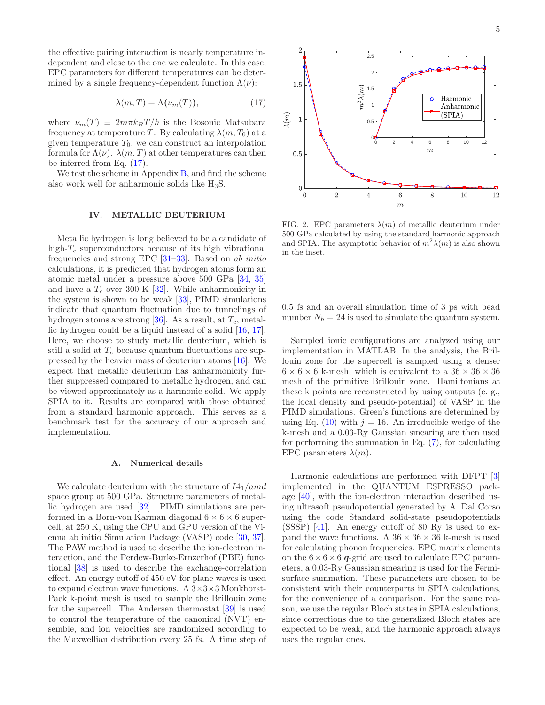the effective pairing interaction is nearly temperature independent and close to the one we calculate. In this case, EPC parameters for different temperatures can be determined by a single frequency-dependent function  $\Lambda(\nu)$ :

<span id="page-4-1"></span>
$$
\lambda(m, T) = \Lambda(\nu_m(T)),\tag{17}
$$

where  $\nu_m(T) \equiv 2m\pi k_BT/\hbar$  is the Bosonic Matsubara frequency at temperature T. By calculating  $\lambda(m, T_0)$  at a given temperature  $T_0$ , we can construct an interpolation formula for  $\Lambda(\nu)$ .  $\lambda(m,T)$  at other temperatures can then be inferred from Eq. [\(17\)](#page-4-1).

We test the scheme in Appendix  $B$ , and find the scheme also work well for anharmonic solids like  $H_3S$ .

### <span id="page-4-0"></span>IV. METALLIC DEUTERIUM

Metallic hydrogen is long believed to be a candidate of high- $T_c$  superconductors because of its high vibrational frequencies and strong EPC [\[31](#page-9-15)[–33\]](#page-9-16). Based on ab initio calculations, it is predicted that hydrogen atoms form an atomic metal under a pressure above 500 GPa [\[34](#page-9-17), [35](#page-9-18)] and have a  $T_c$  over 300 K [\[32\]](#page-9-19). While anharmonicity in the system is shown to be weak [\[33](#page-9-16)], PIMD simulations indicate that quantum fluctuation due to tunnelings of hydrogen atoms are strong [\[36\]](#page-9-20). As a result, at  $T_c$ , metallic hydrogen could be a liquid instead of a solid [\[16,](#page-9-1) [17\]](#page-9-2). Here, we choose to study metallic deuterium, which is still a solid at  $T_c$  because quantum fluctuations are suppressed by the heavier mass of deuterium atoms [\[16\]](#page-9-1). We expect that metallic deuterium has anharmonicity further suppressed compared to metallic hydrogen, and can be viewed approximately as a harmonic solid. We apply SPIA to it. Results are compared with those obtained from a standard harmonic approach. This serves as a benchmark test for the accuracy of our approach and implementation.

### A. Numerical details

We calculate deuterium with the structure of  $I4_1/amd$ space group at 500 GPa. Structure parameters of metallic hydrogen are used [\[32\]](#page-9-19). PIMD simulations are performed in a Born-von Karman diagonal  $6 \times 6 \times 6$  supercell, at 250 K, using the CPU and GPU version of the Vienna ab initio Simulation Package (VASP) code [\[30,](#page-9-14) [37\]](#page-9-21). The PAW method is used to describe the ion-electron interaction, and the Perdew-Burke-Ernzerhof (PBE) functional [\[38](#page-9-22)] is used to describe the exchange-correlation effect. An energy cutoff of 450 eV for plane waves is used to expand electron wave functions. A  $3\times3\times3$  Monkhorst-Pack k-point mesh is used to sample the Brillouin zone for the supercell. The Andersen thermostat [\[39\]](#page-9-23) is used to control the temperature of the canonical (NVT) ensemble, and ion velocities are randomized according to the Maxwellian distribution every 25 fs. A time step of



<span id="page-4-2"></span>FIG. 2. EPC parameters  $\lambda(m)$  of metallic deuterium under 500 GPa calculated by using the standard harmonic approach and SPIA. The asymptotic behavior of  $m^2\lambda(m)$  is also shown in the inset.

0.5 fs and an overall simulation time of 3 ps with bead number  $N_b = 24$  is used to simulate the quantum system.

Sampled ionic configurations are analyzed using our implementation in MATLAB. In the analysis, the Brillouin zone for the supercell is sampled using a denser  $6 \times 6 \times 6$  k-mesh, which is equivalent to a  $36 \times 36 \times 36$ mesh of the primitive Brillouin zone. Hamiltonians at these k points are reconstructed by using outputs (e. g., the local density and pseudo-potential) of VASP in the PIMD simulations. Green's functions are determined by using Eq. [\(10\)](#page-2-6) with  $j = 16$ . An irreducible wedge of the k-mesh and a 0.03-Ry Gaussian smearing are then used for performing the summation in Eq.  $(7)$ , for calculating EPC parameters  $\lambda(m)$ .

Harmonic calculations are performed with DFPT [\[3](#page-8-2)] implemented in the QUANTUM ESPRESSO package [\[40](#page-9-24)], with the ion-electron interaction described using ultrasoft pseudopotential generated by A. Dal Corso using the code Standard solid-state pseudopotentials (SSSP) [\[41](#page-9-25)]. An energy cutoff of 80 Ry is used to expand the wave functions. A  $36 \times 36 \times 36$  k-mesh is used for calculating phonon frequencies. EPC matrix elements on the  $6 \times 6 \times 6$  q-grid are used to calculate EPC parameters, a 0.03-Ry Gaussian smearing is used for the Fermisurface summation. These parameters are chosen to be consistent with their counterparts in SPIA calculations, for the convenience of a comparison. For the same reason, we use the regular Bloch states in SPIA calculations, since corrections due to the generalized Bloch states are expected to be weak, and the harmonic approach always uses the regular ones.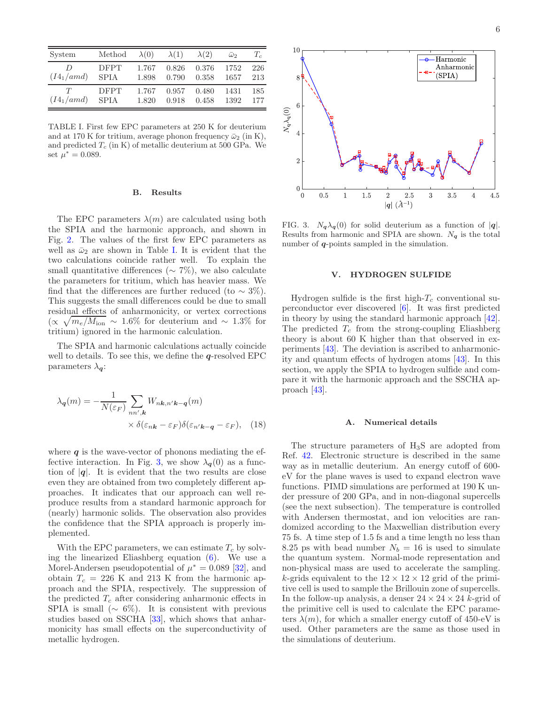| System       | Method      | $\lambda(0)$ | $\lambda(1)$ | $\lambda(2)$ | $\bar{\omega}_2$ | $T_c$ |
|--------------|-------------|--------------|--------------|--------------|------------------|-------|
| D            | <b>DFPT</b> | 1.767        | 0.826        | 0.376        | 1752             | 226   |
| $(I4_1/amd)$ | <b>SPIA</b> | 1.898        | 0.790        | 0.358        | 1657             | 213   |
| T            | <b>DFPT</b> | 1.767        | 0.957        | 0.480        | 1431             | 185   |
| $(I4_1/amd)$ | <b>SPIA</b> | 1.820        | 0.918        | 0.458        | 1392             | 177   |

TABLE I. First few EPC parameters at 250 K for deuterium and at 170 K for tritium, average phonon frequency  $\bar{\omega}_2$  (in K), and predicted  $T_c$  (in K) of metallic deuterium at 500 GPa. We set  $\mu^* = 0.089$ .

### B. Results

The EPC parameters  $\lambda(m)$  are calculated using both the SPIA and the harmonic approach, and shown in Fig. [2.](#page-4-2) The values of the first few EPC parameters as well as  $\bar{\omega}_2$  are shown in Table [I.](#page-8-12) It is evident that the two calculations coincide rather well. To explain the small quantitative differences ( $\sim$  7%), we also calculate the parameters for tritium, which has heavier mass. We find that the differences are further reduced (to  $\sim 3\%$ ). This suggests the small differences could be due to small residual effects of anharmonicity, or vertex corrections  $\alpha \sqrt{m_e/M_{\text{ion}}}$  ∼ 1.6% for deuterium and ~ 1.3% for tritium) ignored in the harmonic calculation.

The SPIA and harmonic calculations actually coincide well to details. To see this, we define the  $q$ -resolved EPC parameters  $\lambda_{\mathbf{q}}$ :

$$
\lambda_{\mathbf{q}}(m) = -\frac{1}{N(\varepsilon_F)} \sum_{nn',\mathbf{k}} W_{n\mathbf{k},n'\mathbf{k}-\mathbf{q}}(m)
$$

$$
\times \delta(\varepsilon_{n\mathbf{k}} - \varepsilon_F) \delta(\varepsilon_{n'\mathbf{k}-\mathbf{q}} - \varepsilon_F), \quad (18)
$$

where  $q$  is the wave-vector of phonons mediating the ef-fective interaction. In Fig. [3,](#page-5-1) we show  $\lambda_{q}(0)$  as a function of  $|q|$ . It is evident that the two results are close even they are obtained from two completely different approaches. It indicates that our approach can well reproduce results from a standard harmonic approach for (nearly) harmonic solids. The observation also provides the confidence that the SPIA approach is properly implemented.

With the EPC parameters, we can estimate  $T_c$  by solving the linearized Eliashberg equation [\(6\)](#page-1-2). We use a Morel-Andersen pseudopotential of  $\mu^* = 0.089$  [\[32\]](#page-9-19), and obtain  $T_c = 226$  K and 213 K from the harmonic approach and the SPIA, respectively. The suppression of the predicted  $T_c$  after considering anharmonic effects in SPIA is small ( $\sim 6\%$ ). It is consistent with previous studies based on SSCHA [\[33\]](#page-9-16), which shows that anharmonicity has small effects on the superconductivity of metallic hydrogen.



<span id="page-5-1"></span>FIG. 3.  $N_{\mathbf{q}}\lambda_{\mathbf{q}}(0)$  for solid deuterium as a function of  $|\mathbf{q}|$ . Results from harmonic and SPIA are shown.  $N_q$  is the total number of  $q$ -points sampled in the simulation.

# <span id="page-5-0"></span>V. HYDROGEN SULFIDE

Hydrogen sulfide is the first high- $T_c$  conventional superconductor ever discovered [\[6\]](#page-8-13). It was first predicted in theory by using the standard harmonic approach [\[42\]](#page-9-26). The predicted  $T_c$  from the strong-coupling Eliashberg theory is about 60 K higher than that observed in experiments [\[43](#page-9-27)]. The deviation is ascribed to anharmonicity and quantum effects of hydrogen atoms [\[43](#page-9-27)]. In this section, we apply the SPIA to hydrogen sulfide and compare it with the harmonic approach and the SSCHA approach [\[43](#page-9-27)].

#### A. Numerical details

The structure parameters of H3S are adopted from Ref. [42](#page-9-26). Electronic structure is described in the same way as in metallic deuterium. An energy cutoff of 600 eV for the plane waves is used to expand electron wave functions. PIMD simulations are performed at 190 K under pressure of 200 GPa, and in non-diagonal supercells (see the next subsection). The temperature is controlled with Andersen thermostat, and ion velocities are randomized according to the Maxwellian distribution every 75 fs. A time step of 1.5 fs and a time length no less than 8.25 ps with bead number  $N_b = 16$  is used to simulate the quantum system. Normal-mode representation and non-physical mass are used to accelerate the sampling. k-grids equivalent to the  $12 \times 12 \times 12$  grid of the primitive cell is used to sample the Brillouin zone of supercells. In the follow-up analysis, a denser  $24 \times 24 \times 24$  k-grid of the primitive cell is used to calculate the EPC parameters  $\lambda(m)$ , for which a smaller energy cutoff of 450-eV is used. Other parameters are the same as those used in the simulations of deuterium.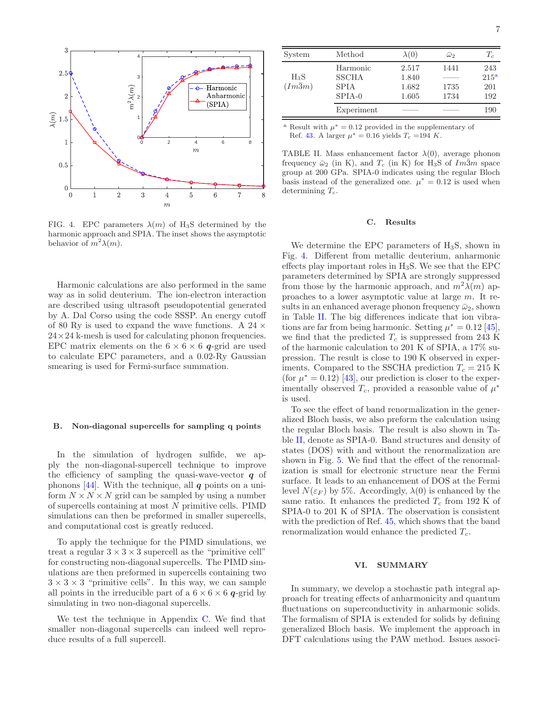

<span id="page-6-2"></span>FIG. 4. EPC parameters  $\lambda(m)$  of H<sub>3</sub>S determined by the harmonic approach and SPIA. The inset shows the asymptotic behavior of  $m^2\lambda(m)$ .

Harmonic calculations are also performed in the same way as in solid deuterium. The ion-electron interaction are described using ultrasoft pseudopotential generated by A. Dal Corso using the code SSSP. An energy cutoff of 80 Ry is used to expand the wave functions. A 24  $\times$  $24 \times 24$  k-mesh is used for calculating phonon frequencies. EPC matrix elements on the  $6 \times 6 \times 6$  q-grid are used to calculate EPC parameters, and a 0.02-Ry Gaussian smearing is used for Fermi-surface summation.

### B. Non-diagonal supercells for sampling q points

In the simulation of hydrogen sulfide, we apply the non-diagonal-supercell technique to improve the efficiency of sampling the quasi-wave-vector  $q$  of phonons [\[44](#page-9-28)]. With the technique, all  $q$  points on a uniform  $N \times N \times N$  grid can be sampled by using a number of supercells containing at most N primitive cells. PIMD simulations can then be preformed in smaller supercells, and computational cost is greatly reduced.

To apply the technique for the PIMD simulations, we treat a regular  $3 \times 3 \times 3$  supercell as the "primitive cell" for constructing non-diagonal supercells. The PIMD simulations are then preformed in supercells containing two  $3 \times 3 \times 3$  "primitive cells". In this way, we can sample all points in the irreducible part of a  $6 \times 6 \times 6$  q-grid by simulating in two non-diagonal supercells.

We test the technique in Appendix [C.](#page-7-2) We find that smaller non-diagonal supercells can indeed well reproduce results of a full supercell.

| System                   | Method                                              | $\lambda(0)$                     | $\bar{\omega}$       | $T_c$                                 |
|--------------------------|-----------------------------------------------------|----------------------------------|----------------------|---------------------------------------|
| $H_3S$<br>$(Im\bar{3}m)$ | Harmonic<br><b>SSCHA</b><br><b>SPIA</b><br>$SPIA-0$ | 2.517<br>1.840<br>1.682<br>1.605 | 1441<br>1735<br>1734 | 243<br>215 <sup>a</sup><br>201<br>192 |
|                          | Experiment                                          |                                  |                      | 190                                   |

<span id="page-6-1"></span><sup>a</sup> Result with  $\mu^* = 0.12$  provided in the supplementary of Ref. [43.](#page-9-27) A larger  $\mu^* = 0.16$  yields  $T_c = 194$  K.

TABLE II. Mass enhancement factor  $\lambda(0)$ , average phonon frequency  $\bar{\omega}_2$  (in K), and  $T_c$  (in K) for H<sub>3</sub>S of  $Im\bar{3}m$  space group at 200 GPa. SPIA-0 indicates using the regular Bloch basis instead of the generalized one.  $\mu^* = 0.12$  is used when determining  $T_c$ .

#### C. Results

We determine the EPC parameters of H<sub>3</sub>S, shown in Fig. [4.](#page-6-2) Different from metallic deuterium, anharmonic effects play important roles in  $H_3S$ . We see that the EPC parameters determined by SPIA are strongly suppressed from those by the harmonic approach, and  $m^2\lambda(m)$  approaches to a lower asymptotic value at large m. It results in an enhanced average phonon frequency  $\bar{\omega}_2$ , shown in Table [II.](#page-8-14) The big differences indicate that ion vibrations are far from being harmonic. Setting  $\mu^* = 0.12$  [\[45\]](#page-9-29), we find that the predicted  $T_c$  is suppressed from 243 K of the harmonic calculation to 201 K of SPIA, a 17% supression. The result is close to 190 K observed in experiments. Compared to the SSCHA prediction  $T_c = 215$  K (for  $\mu^* = 0.12$ ) [\[43\]](#page-9-27), our prediction is closer to the experimentally observed  $T_c$ , provided a reasonble value of  $\mu^*$ is used.

To see the effect of band renormalization in the generalized Bloch basis, we also preform the calculation using the regular Bloch basis. The result is also shown in Table [II,](#page-8-14) denote as SPIA-0. Band structures and density of states (DOS) with and without the renormalization are shown in Fig. [5.](#page-7-3) We find that the effect of the renormalization is small for electronic structure near the Fermi surface. It leads to an enhancement of DOS at the Fermi level  $N(\varepsilon_F)$  by 5%. Accordingly,  $\lambda(0)$  is enhanced by the same ratio. It enhances the predicted  $T_c$  from 192 K of SPIA-0 to 201 K of SPIA. The observation is consistent with the prediction of Ref. [45](#page-9-29), which shows that the band renormalization would enhance the predicted  $T_c$ .

### <span id="page-6-0"></span>VI. SUMMARY

In summary, we develop a stochastic path integral approach for treating effects of anharmonicity and quantum fluctuations on superconductivity in anharmonic solids. The formalism of SPIA is extended for solids by defining generalized Bloch basis. We implement the approach in DFT calculations using the PAW method. Issues associ-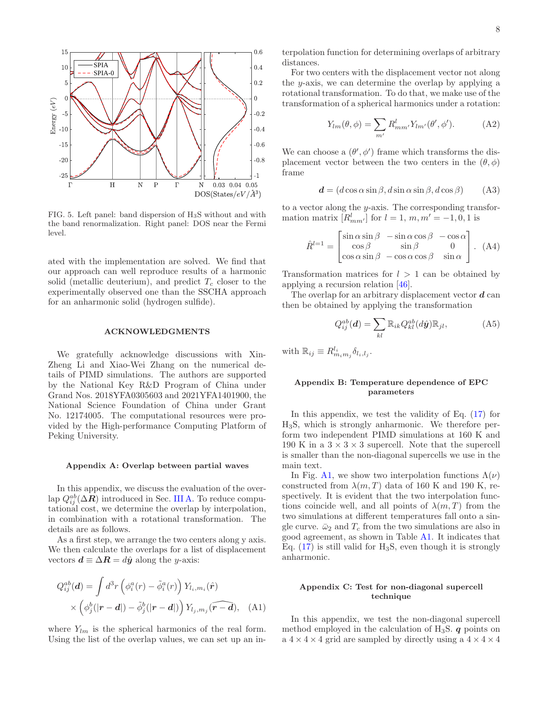

<span id="page-7-3"></span>FIG. 5. Left panel: band dispersion of H3S without and with the band renormalization. Right panel: DOS near the Fermi level.

ated with the implementation are solved. We find that our approach can well reproduce results of a harmonic solid (metallic deuterium), and predict  $T_c$  closer to the experimentally observed one than the SSCHA approach for an anharmonic solid (hydrogen sulfide).

### ACKNOWLEDGMENTS

We gratefully acknowledge discussions with Xin-Zheng Li and Xiao-Wei Zhang on the numerical details of PIMD simulations. The authors are supported by the National Key R&D Program of China under Grand Nos. 2018YFA0305603 and 2021YFA1401900, the National Science Foundation of China under Grant No. 12174005. The computational resources were provided by the High-performance Computing Platform of Peking University.

#### <span id="page-7-0"></span>Appendix A: Overlap between partial waves

In this appendix, we discuss the evaluation of the overlap  $Q_{ij}^{ab}(\Delta \mathbf{R})$  introduced in Sec. [III A.](#page-2-0) To reduce computational cost, we determine the overlap by interpolation, in combination with a rotational transformation. The details are as follows.

As a first step, we arrange the two centers along y axis. We then calculate the overlaps for a list of displacement vectors  $\mathbf{d} \equiv \Delta \mathbf{R} = d\hat{\mathbf{y}}$  along the y-axis:

$$
Q_{ij}^{ab}(\mathbf{d}) = \int d^3r \left( \phi_i^a(r) - \tilde{\phi}_i^a(r) \right) Y_{l_i, m_i}(\hat{\mathbf{r}})
$$

$$
\times \left( \phi_j^b(|\mathbf{r} - \mathbf{d}|) - \tilde{\phi}_j^b(|\mathbf{r} - \mathbf{d}|) \right) Y_{l_j, m_j}(\widehat{\mathbf{r} - \mathbf{d}}), \quad \text{(A1)}
$$

where  $Y_{lm}$  is the spherical harmonics of the real form. Using the list of the overlap values, we can set up an interpolation function for determining overlaps of arbitrary distances.

For two centers with the displacement vector not along the y-axis, we can determine the overlap by applying a rotational transformation. To do that, we make use of the transformation of a spherical harmonics under a rotation:

$$
Y_{lm}(\theta,\phi) = \sum_{m'} R_{mm'}^l Y_{lm'}(\theta',\phi'). \tag{A2}
$$

We can choose a  $(\theta', \phi')$  frame which transforms the displacement vector between the two centers in the  $(\theta, \phi)$ frame

$$
\mathbf{d} = (d\cos\alpha\sin\beta, d\sin\alpha\sin\beta, d\cos\beta) \tag{A3}
$$

to a vector along the y-axis. The corresponding transformation matrix  $[R_{mm'}^l]$  for  $l = 1, m, m' = -1, 0, 1$  is

$$
\hat{R}^{l=1} = \begin{bmatrix} \sin \alpha \sin \beta & -\sin \alpha \cos \beta & -\cos \alpha \\ \cos \beta & \sin \beta & 0 \\ \cos \alpha \sin \beta & -\cos \alpha \cos \beta & \sin \alpha \end{bmatrix} .
$$
 (A4)

Transformation matrices for  $l > 1$  can be obtained by applying a recursion relation [\[46](#page-9-30)].

The overlap for an arbitrary displacement vector  $\boldsymbol{d}$  can then be obtained by applying the transformation

$$
Q_{ij}^{ab}(\boldsymbol{d}) = \sum_{kl} \mathbb{R}_{ik} Q_{kl}^{ab}(d\hat{\boldsymbol{y}}) \mathbb{R}_{jl},
$$
 (A5)

with  $\mathbb{R}_{ij} \equiv R_{m_i m_j}^{l_i} \delta_{l_i, l_j}$ .

# <span id="page-7-1"></span>Appendix B: Temperature dependence of EPC parameters

In this appendix, we test the validity of Eq.  $(17)$  for H3S, which is strongly anharmonic. We therefore perform two independent PIMD simulations at 160 K and 190 K in a  $3 \times 3 \times 3$  supercell. Note that the supercell is smaller than the non-diagonal supercells we use in the main text.

In Fig. [A1,](#page-8-11) we show two interpolation functions  $\Lambda(\nu)$ constructed from  $\lambda(m,T)$  data of 160 K and 190 K, respectively. It is evident that the two interpolation functions coincide well, and all points of  $\lambda(m,T)$  from the two simulations at different temperatures fall onto a single curve.  $\bar{\omega}_2$  and  $T_c$  from the two simulations are also in good agreement, as shown in Table [A1.](#page-8-12) It indicates that Eq.  $(17)$  is still valid for H<sub>3</sub>S, even though it is strongly anharmonic.

## <span id="page-7-2"></span>Appendix C: Test for non-diagonal supercell technique

In this appendix, we test the non-diagonal supercell method employed in the calculation of  $H_3S$ . q points on a  $4 \times 4 \times 4$  grid are sampled by directly using a  $4 \times 4 \times 4$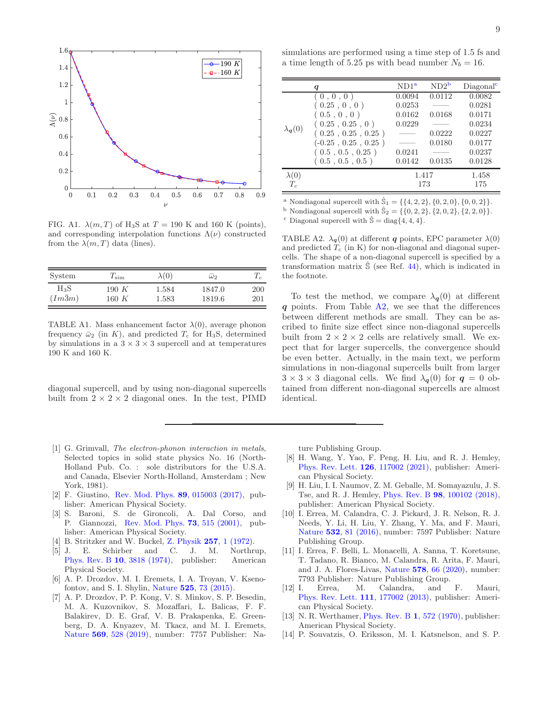

<span id="page-8-11"></span>FIG. A1.  $\lambda(m,T)$  of H<sub>3</sub>S at  $T = 190$  K and 160 K (points), and corresponding interpolation functions  $\Lambda(\nu)$  constructed from the  $\lambda(m,T)$  data (lines).

| System         | $T_{\mathrm{sim}}$ | $\lambda(0)$ | $\omega_2$ | $T_c$ |
|----------------|--------------------|--------------|------------|-------|
| H3S.           | 190 K              | 1.584        | 1847.0     | 200   |
| $(Im\bar{3}m)$ | $160\ K$           | 1.583        | 1819.6     | 201   |

<span id="page-8-12"></span>TABLE A1. Mass enhancement factor  $\lambda(0)$ , average phonon frequency  $\bar{\omega}_2$  (in K), and predicted  $T_c$  for H<sub>3</sub>S, determined by simulations in a  $3 \times 3 \times 3$  supercell and at temperatures 190 K and 160 K.

diagonal supercell, and by using non-diagonal supercells built from  $2 \times 2 \times 2$  diagonal ones. In the test, PIMD

- <span id="page-8-0"></span>[1] G. Grimvall, The electron-phonon interaction in metals, Selected topics in solid state physics No. 16 (North-Holland Pub. Co. : sole distributors for the U.S.A. and Canada, Elsevier North-Holland, Amsterdam ; New York, 1981).
- <span id="page-8-1"></span>[2] F. Giustino, [Rev. Mod. Phys.](https://doi.org/10.1103/RevModPhys.89.015003) 89, 015003 (2017), publisher: American Physical Society.
- <span id="page-8-2"></span>[3] S. Baroni, S. de Gironcoli, A. Dal Corso, and P. Giannozzi, [Rev. Mod. Phys.](https://doi.org/10.1103/RevModPhys.73.515) 73, 515 (2001), publisher: American Physical Society.
- <span id="page-8-3"></span>[4] B. Stritzker and W. Buckel, Z. Physik 257[, 1 \(1972\).](https://doi.org/10.1007/BF01398191)
- [5] J. E. Schirber and C. J. M. Northrup, Phys. Rev. B 10[, 3818 \(1974\),](https://doi.org/10.1103/PhysRevB.10.3818) publisher: American Physical Society.
- <span id="page-8-13"></span>[6] A. P. Drozdov, M. I. Eremets, I. A. Troyan, V. Ksenofontov, and S. I. Shylin, Nature 525[, 73 \(2015\).](https://doi.org/10.1038/nature14964)
- <span id="page-8-4"></span>[7] A. P. Drozdov, P. P. Kong, V. S. Minkov, S. P. Besedin, M. A. Kuzovnikov, S. Mozaffari, L. Balicas, F. F. Balakirev, D. E. Graf, V. B. Prakapenka, E. Greenberg, D. A. Knyazev, M. Tkacz, and M. I. Eremets, Nature 569[, 528 \(2019\),](https://doi.org/10.1038/s41586-019-1201-8) number: 7757 Publisher: Na-

simulations are performed using a time step of 1.5 fs and a time length of 5.25 ps with bead number  $N_b = 16$ .

|                           | q                     | ND1 <sup>a</sup> | $ND2^b$ | Diagonal <sup>c</sup> |
|---------------------------|-----------------------|------------------|---------|-----------------------|
| $\lambda_{\mathbf{q}}(0)$ | (0, 0, 0)             | 0.0094           | 0.0112  | 0.0082                |
|                           | (0.25, 0, 0)          | 0.0253           |         | 0.0281                |
|                           | (0.5, 0, 0)           | 0.0162           | 0.0168  | 0.0171                |
|                           | (0.25, 0.25, 0)       | 0.0229           |         | 0.0234                |
|                           | (0.25, 0.25, 0.25)    |                  | 0.0222  | 0.0227                |
|                           | $(-0.25, 0.25, 0.25)$ |                  | 0.0180  | 0.0177                |
|                           | (0.5, 0.5, 0.25)      | 0.0241           |         | 0.0237                |
|                           | (0.5, 0.5, 0.5)       | 0.0142           | 0.0135  | 0.0128                |
| $\lambda(0)$              |                       | 1.417            |         | 1.458                 |
| $T_c$                     |                       | 173              |         | 175                   |

<sup>a</sup> Nondiagonal supercell with  $\hat{\mathbb{S}}_1 = \{\{4, 2, 2\}, \{0, 2, 0\}, \{0, 0, 2\}\}.$ 

<span id="page-8-15"></span><sup>b</sup> Nondiagonal supercell with  $\hat{S}_2 = \{ \{0, 2, 2\}, \{2, 0, 2\}, \{2, 2, 0\} \}.$ 

<span id="page-8-17"></span><span id="page-8-16"></span><sup>c</sup> Diagonal supercell with  $\hat{\mathbb{S}} = \text{diag}\{4, 4, 4\}.$ 

<span id="page-8-14"></span>TABLE A2.  $\lambda_q(0)$  at different q points, EPC parameter  $\lambda(0)$ and predicted  $T_c$  (in K) for non-diagonal and diagonal supercells. The shape of a non-diagonal supercell is specified by a transformation matrix  $\hat{S}$  (see Ref. [44](#page-9-28)), which is indicated in the footnote.

To test the method, we compare  $\lambda_{q}(0)$  at different  $q$  points. From Table [A2,](#page-8-14) we see that the differences between different methods are small. They can be ascribed to finite size effect since non-diagonal supercells built from  $2 \times 2 \times 2$  cells are relatively small. We expect that for larger supercells, the convergence should be even better. Actually, in the main text, we perform simulations in non-diagonal supercells built from larger  $3 \times 3 \times 3$  diagonal cells. We find  $\lambda_{q}(0)$  for  $q = 0$  obtained from different non-diagonal supercells are almost identical.

ture Publishing Group.

- <span id="page-8-5"></span>[8] H. Wang, Y. Yao, F. Peng, H. Liu, and R. J. Hemley, [Phys. Rev. Lett.](https://doi.org/10.1103/PhysRevLett.126.117002) 126, 117002 (2021), publisher: American Physical Society.
- <span id="page-8-6"></span>[9] H. Liu, I. I. Naumov, Z. M. Geballe, M. Somayazulu, J. S. Tse, and R. J. Hemley, Phys. Rev. B 98[, 100102 \(2018\),](https://doi.org/10.1103/PhysRevB.98.100102) publisher: American Physical Society.
- <span id="page-8-7"></span>[10] I. Errea, M. Calandra, C. J. Pickard, J. R. Nelson, R. J. Needs, Y. Li, H. Liu, Y. Zhang, Y. Ma, and F. Mauri, Nature 532[, 81 \(2016\),](https://doi.org/10.1038/nature17175) number: 7597 Publisher: Nature Publishing Group.
- <span id="page-8-8"></span>[11] I. Errea, F. Belli, L. Monacelli, A. Sanna, T. Koretsune, T. Tadano, R. Bianco, M. Calandra, R. Arita, F. Mauri, and J. A. Flores-Livas, Nature 578[, 66 \(2020\),](https://doi.org/10.1038/s41586-020-1955-z) number: 7793 Publisher: Nature Publishing Group.
- <span id="page-8-9"></span>[12] I. Errea, M. Calandra, and F. Mauri, [Phys. Rev. Lett.](https://doi.org/10.1103/PhysRevLett.111.177002) 111, 177002 (2013), publisher: American Physical Society.
- <span id="page-8-10"></span>[13] N. R. Werthamer, *[Phys. Rev. B](https://doi.org/10.1103/PhysRevB.1.572)* 1, 572 (1970), publisher: American Physical Society.
- [14] P. Souvatzis, O. Eriksson, M. I. Katsnelson, and S. P.